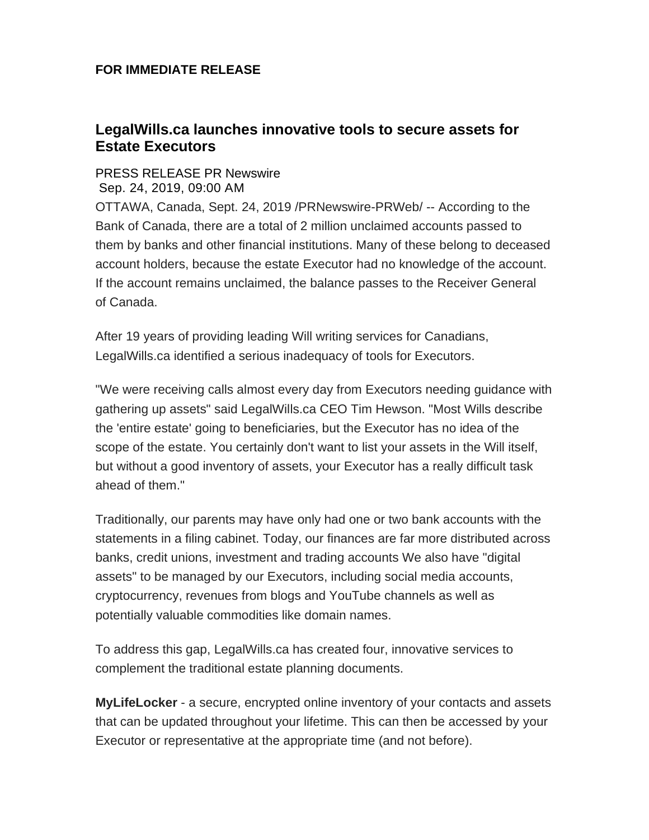## **FOR IMMEDIATE RELEASE**

## **LegalWills.ca launches innovative tools to secure assets for Estate Executors**

## [PRESS RELEASE PR Newswire](https://markets.businessinsider.com/author/pr-newswire) Sep. 24, 2019, 09:00 AM

OTTAWA, Canada, Sept. 24, 2019 /PRNewswire-PRWeb/ -- According to the Bank of Canada, there are a total of 2 million unclaimed accounts passed to them by banks and other financial institutions. Many of these belong to deceased account holders, because the estate Executor had no knowledge of the account. If the account remains unclaimed, the balance passes to the Receiver General of Canada.

After 19 years of providing leading Will writing services for Canadians, LegalWills.ca identified a serious inadequacy of tools for Executors.

"We were receiving calls almost every day from Executors needing guidance with gathering up assets" said LegalWills.ca CEO Tim Hewson. "Most Wills describe the 'entire estate' going to beneficiaries, but the Executor has no idea of the scope of the estate. You certainly don't want to list your assets in the Will itself, but without a good inventory of assets, your Executor has a really difficult task ahead of them."

Traditionally, our parents may have only had one or two bank accounts with the statements in a filing cabinet. Today, our finances are far more distributed across banks, credit unions, investment and trading accounts We also have "digital assets" to be managed by our Executors, including social media accounts, cryptocurrency, revenues from blogs and YouTube channels as well as potentially valuable commodities like domain names.

To address this gap, LegalWills.ca has created four, innovative services to complement the traditional estate planning documents.

**MyLifeLocker** - a secure, encrypted online inventory of your contacts and assets that can be updated throughout your lifetime. This can then be accessed by your Executor or representative at the appropriate time (and not before).